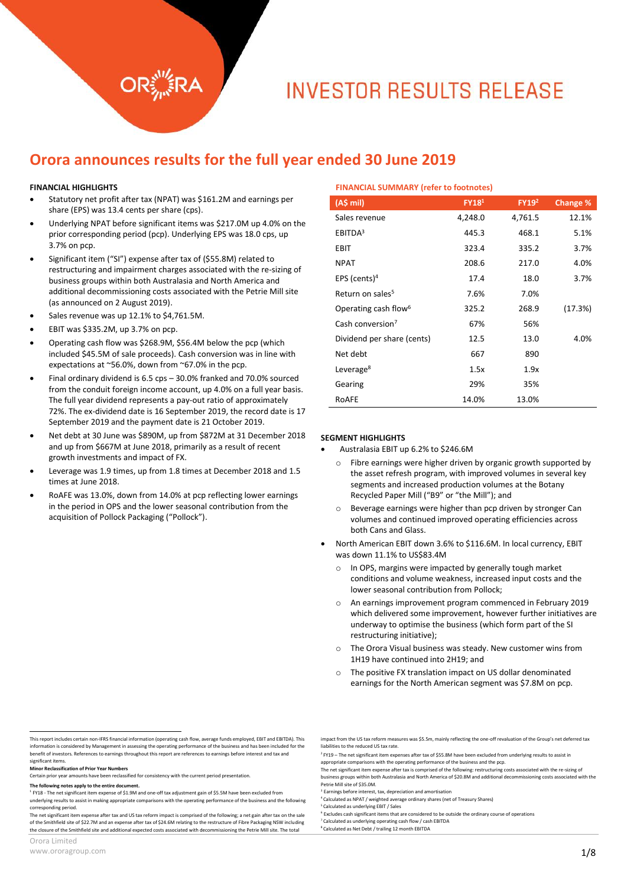# **INVESTOR RESULTS RELEASE**

**FINANCIAL SUMMARY (refer to footnotes)**

## **Orora announces results for the full year ended 30 June 2019**

#### **FINANCIAL HIGHLIGHTS**

- Statutory net profit after tax (NPAT) was \$161.2M and earnings per share (EPS) was 13.4 cents per share (cps).
- Underlying NPAT before significant items was \$217.0M up 4.0% on the prior corresponding period (pcp). Underlying EPS was 18.0 cps, up 3.7% on pcp.
- Significant item ("SI") expense after tax of (\$55.8M) related to restructuring and impairment charges associated with the re-sizing of business groups within both Australasia and North America and additional decommissioning costs associated with the Petrie Mill site (as announced on 2 August 2019).
- Sales revenue was up 12.1% to \$4,761.5M.
- EBIT was \$335.2M, up 3.7% on pcp.
- Operating cash flow was \$268.9M, \$56.4M below the pcp (which included \$45.5M of sale proceeds). Cash conversion was in line with expectations at ~56.0%, down from ~67.0% in the pcp.
- Final ordinary dividend is 6.5 cps 30.0% franked and 70.0% sourced from the conduit foreign income account, up 4.0% on a full year basis. The full year dividend represents a pay-out ratio of approximately 72%. The ex-dividend date is 16 September 2019, the record date is 17 September 2019 and the payment date is 21 October 2019.
- Net debt at 30 June was \$890M, up from \$872M at 31 December 2018 and up from \$667M at June 2018, primarily as a result of recent growth investments and impact of FX.
- Leverage was 1.9 times, up from 1.8 times at December 2018 and 1.5 times at June 2018.
- RoAFE was 13.0%, down from 14.0% at pcp reflecting lower earnings in the period in OPS and the lower seasonal contribution from the acquisition of Pollock Packaging ("Pollock").

| <b>INVARIATE SUIVINGARE (ICICI 10 IOUGHULCS)</b> |                   |              |          |  |
|--------------------------------------------------|-------------------|--------------|----------|--|
| (A\$ mi)                                         | FY18 <sup>1</sup> | <b>FY192</b> | Change % |  |
| Sales revenue                                    | 4,248.0           | 4,761.5      | 12.1%    |  |
| EBITDA <sup>3</sup>                              | 445.3             | 468.1        | 5.1%     |  |
| EBIT                                             | 323.4             | 335.2        | 3.7%     |  |
| <b>NPAT</b>                                      | 208.6             | 217.0        | 4.0%     |  |
| EPS (cents) <sup>4</sup>                         | 17.4              | 18.0         | 3.7%     |  |
| Return on sales <sup>5</sup>                     | 7.6%              | 7.0%         |          |  |
| Operating cash flow <sup>6</sup>                 | 325.2             | 268.9        | (17.3%)  |  |
| Cash conversion <sup>7</sup>                     | 67%               | 56%          |          |  |
| Dividend per share (cents)                       | 12.5              | 13.0         | 4.0%     |  |
| Net debt                                         | 667               | 890          |          |  |
| Leverage <sup>8</sup>                            | 1.5x              | 1.9x         |          |  |
| Gearing                                          | 29%               | 35%          |          |  |
| RoAFE                                            | 14.0%             | 13.0%        |          |  |

#### **SEGMENT HIGHLIGHTS**

- Australasia EBIT up 6.2% to \$246.6M
	- o Fibre earnings were higher driven by organic growth supported by the asset refresh program, with improved volumes in several key segments and increased production volumes at the Botany Recycled Paper Mill ("B9" or "the Mill"); and
	- o Beverage earnings were higher than pcp driven by stronger Can volumes and continued improved operating efficiencies across both Cans and Glass.
- North American EBIT down 3.6% to \$116.6M. In local currency, EBIT was down 11.1% to US\$83.4M
	- o In OPS, margins were impacted by generally tough market conditions and volume weakness, increased input costs and the lower seasonal contribution from Pollock;
	- o An earnings improvement program commenced in February 2019 which delivered some improvement, however further initiatives are underway to optimise the business (which form part of the SI restructuring initiative);
	- o The Orora Visual business was steady. New customer wins from 1H19 have continued into 2H19; and
	- o The positive FX translation impact on US dollar denominated earnings for the North American segment was \$7.8M on pcp.

8 Calculated as Net Debt / trailing 12 month EBITDA

 This report includes certain non-IFRS financial information (operating cash flow, average funds employed, EBIT and EBITDA). This information is considered by Management in assessing the operating performance of the business and has been included for the benefit of investors. References to earnings throughout this report are references to earnings before interest and tax and significant items.

**Minor Reclassification of Prior Year Numbers**

Certain prior year amounts have been reclassified for consistency with the current period presentation.

The following notes apply to the entire doct

<sup>&</sup>lt;sup>1</sup> FY18 - The net significant item expense of \$1.9M and one-off tax adjustment gain of \$5.5M have been excluded from

underlying results to assist in making appropriate comparisons with the operating performance of the business and the follo corresponding period.

The net significant item expense after tax and US tax reform impact is comprised of the following; a net gain after tax on the sale of the Smithfield site of \$22.7M and an expense after tax of \$24.6M relating to the restructure of Fibre Packaging NSW including the closure of the Smithfield site and additional expected costs associated with decommissioning the Petrie Mill site. The total

appropriate comparisons with the operating performance of the business and the pcp.

The net significant item expense after tax is comprised of the following: restructuring costs associated with the re-sizing of<br>business groups within both Australasia and North America of \$20.8M and additional decommission

Petrie Mill site of \$35.0M. Earnings before interest, tax, depreciation and amortisation

<sup>4</sup> Calculated as NPAT / weighted average ordinary shares (net of Treasury Shares)

<sup>5</sup> Calculated as underlying EBIT / Sales 6 Excludes cash significant items that are considered to be outside the ordinary course of operations

<sup>7</sup> Calculated as underlying operating cash flow / cash EBITDA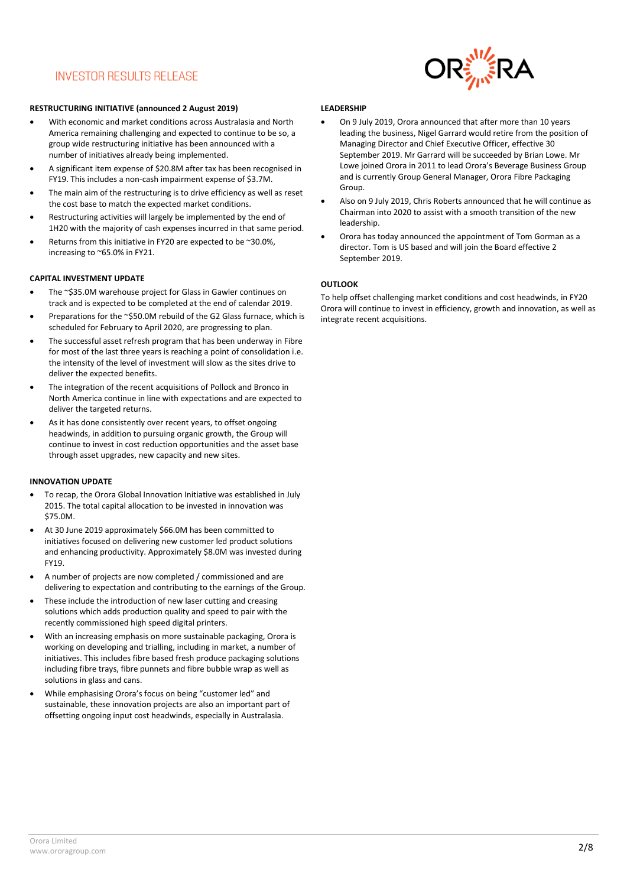## **INVESTOR RESULTS RELEASE**



#### **RESTRUCTURING INITIATIVE (announced 2 August 2019)**

- With economic and market conditions across Australasia and North America remaining challenging and expected to continue to be so, a group wide restructuring initiative has been announced with a number of initiatives already being implemented.
- A significant item expense of \$20.8M after tax has been recognised in FY19. This includes a non-cash impairment expense of \$3.7M.
- The main aim of the restructuring is to drive efficiency as well as reset the cost base to match the expected market conditions.
- Restructuring activities will largely be implemented by the end of 1H20 with the majority of cash expenses incurred in that same period.
- Returns from this initiative in FY20 are expected to be ~30.0%, increasing to ~65.0% in FY21.

#### **CAPITAL INVESTMENT UPDATE**

- The ~\$35.0M warehouse project for Glass in Gawler continues on track and is expected to be completed at the end of calendar 2019.
- Preparations for the ~\$50.0M rebuild of the G2 Glass furnace, which is scheduled for February to April 2020, are progressing to plan.
- The successful asset refresh program that has been underway in Fibre for most of the last three years is reaching a point of consolidation i.e. the intensity of the level of investment will slow as the sites drive to deliver the expected benefits.
- The integration of the recent acquisitions of Pollock and Bronco in North America continue in line with expectations and are expected to deliver the targeted returns.
- As it has done consistently over recent years, to offset ongoing headwinds, in addition to pursuing organic growth, the Group will continue to invest in cost reduction opportunities and the asset base through asset upgrades, new capacity and new sites.

#### **INNOVATION UPDATE**

- To recap, the Orora Global Innovation Initiative was established in July 2015. The total capital allocation to be invested in innovation was \$75.0M.
- At 30 June 2019 approximately \$66.0M has been committed to initiatives focused on delivering new customer led product solutions and enhancing productivity. Approximately \$8.0M was invested during FY19.
- A number of projects are now completed / commissioned and are delivering to expectation and contributing to the earnings of the Group.
- These include the introduction of new laser cutting and creasing solutions which adds production quality and speed to pair with the recently commissioned high speed digital printers.
- With an increasing emphasis on more sustainable packaging, Orora is working on developing and trialling, including in market, a number of initiatives. This includes fibre based fresh produce packaging solutions including fibre trays, fibre punnets and fibre bubble wrap as well as solutions in glass and cans.
- While emphasising Orora's focus on being "customer led" and sustainable, these innovation projects are also an important part of offsetting ongoing input cost headwinds, especially in Australasia.

#### **LEADERSHIP**

- On 9 July 2019, Orora announced that after more than 10 years leading the business, Nigel Garrard would retire from the position of Managing Director and Chief Executive Officer, effective 30 September 2019. Mr Garrard will be succeeded by Brian Lowe. Mr Lowe joined Orora in 2011 to lead Orora's Beverage Business Group and is currently Group General Manager, Orora Fibre Packaging Group.
- Also on 9 July 2019, Chris Roberts announced that he will continue as Chairman into 2020 to assist with a smooth transition of the new leadership.
- Orora has today announced the appointment of Tom Gorman as a director. Tom is US based and will join the Board effective 2 September 2019.

#### **OUTLOOK**

To help offset challenging market conditions and cost headwinds, in FY20 Orora will continue to invest in efficiency, growth and innovation, as well as integrate recent acquisitions.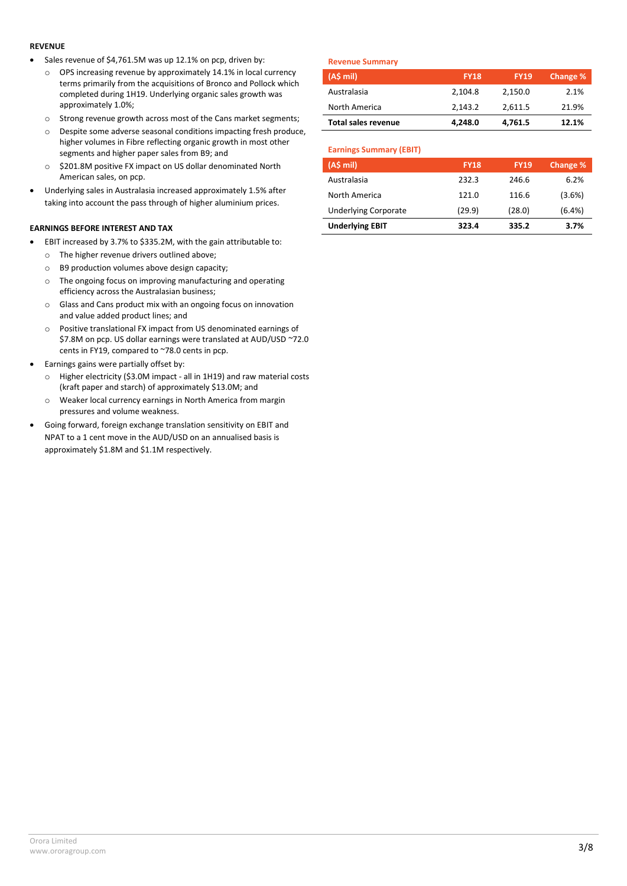#### **REVENUE**

- Sales revenue of \$4,761.5M was up 12.1% on pcp, driven by:
	- o OPS increasing revenue by approximately 14.1% in local currency terms primarily from the acquisitions of Bronco and Pollock which completed during 1H19. Underlying organic sales growth was approximately 1.0%;
	- o Strong revenue growth across most of the Cans market segments;
	- o Despite some adverse seasonal conditions impacting fresh produce, higher volumes in Fibre reflecting organic growth in most other segments and higher paper sales from B9; and
	- o \$201.8M positive FX impact on US dollar denominated North American sales, on pcp.
- Underlying sales in Australasia increased approximately 1.5% after taking into account the pass through of higher aluminium prices.

### **EARNINGS BEFORE INTEREST AND TAX**

- EBIT increased by 3.7% to \$335.2M, with the gain attributable to:
	- o The higher revenue drivers outlined above;
	- o B9 production volumes above design capacity;
	- o The ongoing focus on improving manufacturing and operating efficiency across the Australasian business;
	- o Glass and Cans product mix with an ongoing focus on innovation and value added product lines; and
	- o Positive translational FX impact from US denominated earnings of \$7.8M on pcp. US dollar earnings were translated at AUD/USD ~72.0 cents in FY19, compared to ~78.0 cents in pcp.
- Earnings gains were partially offset by:
	- o Higher electricity (\$3.0M impact all in 1H19) and raw material costs (kraft paper and starch) of approximately \$13.0M; and
	- o Weaker local currency earnings in North America from margin pressures and volume weakness.
- Going forward, foreign exchange translation sensitivity on EBIT and NPAT to a 1 cent move in the AUD/USD on an annualised basis is approximately \$1.8M and \$1.1M respectively.

#### **Revenue Summary**

| --- <i>---------------</i> |             |             |          |
|----------------------------|-------------|-------------|----------|
| $(A5 \text{ mil})$         | <b>FY18</b> | <b>FY19</b> | Change % |
| Australasia                | 2.104.8     | 2.150.0     | 2.1%     |
| North America              | 2.143.2     | 2,611.5     | 21.9%    |
| <b>Total sales revenue</b> | 4.248.0     | 4,761.5     | 12.1%    |

#### **Earnings Summary (EBIT)**

| (A\$ mi)                    | <b>FY18</b> | <b>FY19</b> | <b>Change %</b> |
|-----------------------------|-------------|-------------|-----------------|
| Australasia                 | 232.3       | 246.6       | 6.2%            |
| North America               | 121.0       | 116.6       | (3.6%)          |
| <b>Underlying Corporate</b> | (29.9)      | (28.0)      | (6.4%)          |
| <b>Underlying EBIT</b>      | 323.4       | 335.2       | 3.7%            |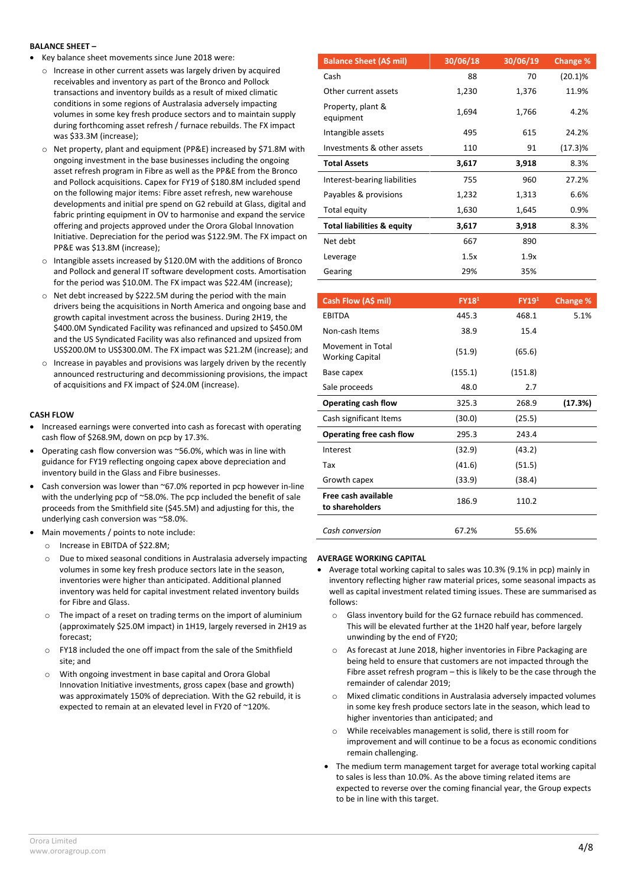#### **BALANCE SHEET –**

- Key balance sheet movements since June 2018 were:
	- $\circ$  Increase in other current assets was largely driven by acquired receivables and inventory as part of the Bronco and Pollock transactions and inventory builds as a result of mixed climatic conditions in some regions of Australasia adversely impacting volumes in some key fresh produce sectors and to maintain supply during forthcoming asset refresh / furnace rebuilds. The FX impact was \$33.3M (increase);
	- o Net property, plant and equipment (PP&E) increased by \$71.8M with ongoing investment in the base businesses including the ongoing asset refresh program in Fibre as well as the PP&E from the Bronco and Pollock acquisitions. Capex for FY19 of \$180.8M included spend on the following major items: Fibre asset refresh, new warehouse developments and initial pre spend on G2 rebuild at Glass, digital and fabric printing equipment in OV to harmonise and expand the service offering and projects approved under the Orora Global Innovation Initiative. Depreciation for the period was \$122.9M. The FX impact on PP&E was \$13.8M (increase);
	- o Intangible assets increased by \$120.0M with the additions of Bronco and Pollock and general IT software development costs. Amortisation for the period was \$10.0M. The FX impact was \$22.4M (increase);
	- o Net debt increased by \$222.5M during the period with the main drivers being the acquisitions in North America and ongoing base and growth capital investment across the business. During 2H19, the \$400.0M Syndicated Facility was refinanced and upsized to \$450.0M and the US Syndicated Facility was also refinanced and upsized from US\$200.0M to US\$300.0M. The FX impact was \$21.2M (increase); and
	- o Increase in payables and provisions was largely driven by the recently announced restructuring and decommissioning provisions, the impact of acquisitions and FX impact of \$24.0M (increase).

#### **CASH FLOW**

- Increased earnings were converted into cash as forecast with operating cash flow of \$268.9M, down on pcp by 17.3%.
- Operating cash flow conversion was ~56.0%, which was in line with guidance for FY19 reflecting ongoing capex above depreciation and inventory build in the Glass and Fibre businesses.
- Cash conversion was lower than ~67.0% reported in pcp however in-line with the underlying pcp of ~58.0%. The pcp included the benefit of sale proceeds from the Smithfield site (\$45.5M) and adjusting for this, the underlying cash conversion was ~58.0%.
- Main movements / points to note include:
- o Increase in EBITDA of \$22.8M;
- o Due to mixed seasonal conditions in Australasia adversely impacting volumes in some key fresh produce sectors late in the season, inventories were higher than anticipated. Additional planned inventory was held for capital investment related inventory builds for Fibre and Glass.
- o The impact of a reset on trading terms on the import of aluminium (approximately \$25.0M impact) in 1H19, largely reversed in 2H19 as forecast;
- o FY18 included the one off impact from the sale of the Smithfield site; and
- o With ongoing investment in base capital and Orora Global Innovation Initiative investments, gross capex (base and growth) was approximately 150% of depreciation. With the G2 rebuild, it is expected to remain at an elevated level in FY20 of ~120%.

| <b>Balance Sheet (A\$ mil)</b>        | 30/06/18 | 30/06/19 | Change %   |
|---------------------------------------|----------|----------|------------|
| Cash                                  | 88       | 70       | $(20.1)\%$ |
| Other current assets                  | 1,230    | 1,376    | 11.9%      |
| Property, plant &<br>equipment        | 1,694    | 1,766    | 4.2%       |
| Intangible assets                     | 495      | 615      | 24.2%      |
| Investments & other assets            | 110      | 91       | (17.3)%    |
| <b>Total Assets</b>                   | 3,617    | 3,918    | 8.3%       |
| Interest-bearing liabilities          | 755      | 960      | 27.2%      |
| Payables & provisions                 | 1,232    | 1,313    | 6.6%       |
| Total equity                          | 1,630    | 1,645    | 0.9%       |
| <b>Total liabilities &amp; equity</b> | 3,617    | 3,918    | 8.3%       |
| Net debt                              | 667      | 890      |            |
| Leverage                              | 1.5x     | 1.9x     |            |
| Gearing                               | 29%      | 35%      |            |

| Cash Flow (A\$ mil)                         | FY18 <sup>1</sup> | FY19 <sup>1</sup> | Change % |
|---------------------------------------------|-------------------|-------------------|----------|
| EBITDA                                      | 445.3             | 468.1             | 5.1%     |
| Non-cash Items                              | 38.9              | 15.4              |          |
| Movement in Total<br><b>Working Capital</b> | (51.9)            | (65.6)            |          |
| Base capex                                  | (155.1)           | (151.8)           |          |
| Sale proceeds                               | 48.0              | 2.7               |          |
| Operating cash flow                         | 325.3             | 268.9             | (17.3%)  |
| Cash significant Items                      | (30.0)            | (25.5)            |          |
| Operating free cash flow                    | 295.3             | 243.4             |          |
| Interest                                    | (32.9)            | (43.2)            |          |
| Tax                                         | (41.6)            | (51.5)            |          |
| Growth capex                                | (33.9)            | (38.4)            |          |
| Free cash available<br>to shareholders      | 186.9             | 110.2             |          |
| Cash conversion                             | 67.2%             | 55.6%             |          |

#### **AVERAGE WORKING CAPITAL**

- Average total working capital to sales was 10.3% (9.1% in pcp) mainly in inventory reflecting higher raw material prices, some seasonal impacts as well as capital investment related timing issues. These are summarised as follows:
	- o Glass inventory build for the G2 furnace rebuild has commenced. This will be elevated further at the 1H20 half year, before largely unwinding by the end of FY20;
	- o As forecast at June 2018, higher inventories in Fibre Packaging are being held to ensure that customers are not impacted through the Fibre asset refresh program – this is likely to be the case through the remainder of calendar 2019;
	- o Mixed climatic conditions in Australasia adversely impacted volumes in some key fresh produce sectors late in the season, which lead to higher inventories than anticipated; and
	- o While receivables management is solid, there is still room for improvement and will continue to be a focus as economic conditions remain challenging.
- The medium term management target for average total working capital to sales is less than 10.0%. As the above timing related items are expected to reverse over the coming financial year, the Group expects to be in line with this target.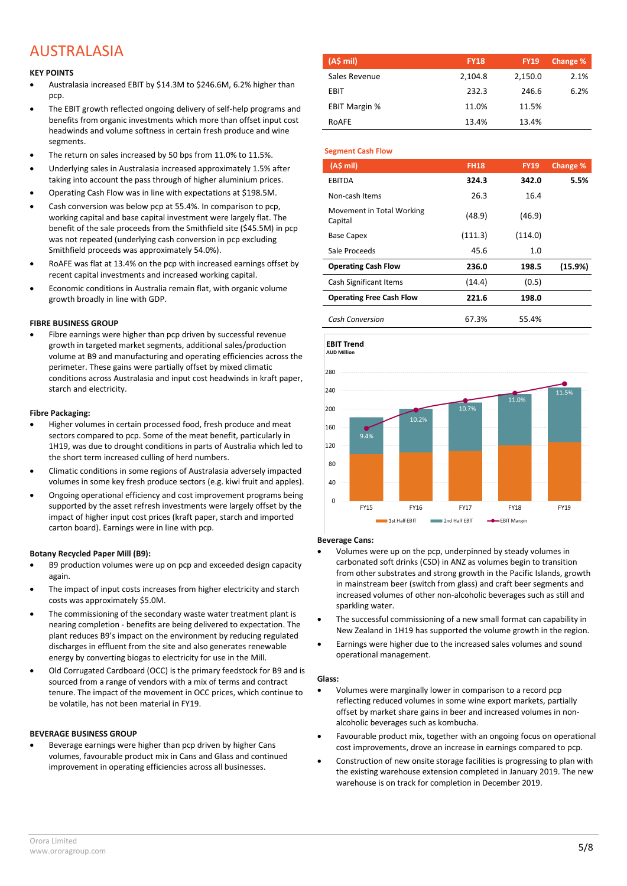## AUSTRALASIA

#### **KEY POINTS**

- Australasia increased EBIT by \$14.3M to \$246.6M, 6.2% higher than pcp.
- The EBIT growth reflected ongoing delivery of self-help programs and benefits from organic investments which more than offset input cost headwinds and volume softness in certain fresh produce and wine segments.
- The return on sales increased by 50 bps from 11.0% to 11.5%.
- Underlying sales in Australasia increased approximately 1.5% after taking into account the pass through of higher aluminium prices.
- Operating Cash Flow was in line with expectations at \$198.5M.
- Cash conversion was below pcp at 55.4%. In comparison to pcp, working capital and base capital investment were largely flat. The benefit of the sale proceeds from the Smithfield site (\$45.5M) in pcp was not repeated (underlying cash conversion in pcp excluding Smithfield proceeds was approximately 54.0%).
- RoAFE was flat at 13.4% on the pcp with increased earnings offset by recent capital investments and increased working capital.
- Economic conditions in Australia remain flat, with organic volume growth broadly in line with GDP.

#### **FIBRE BUSINESS GROUP**

 Fibre earnings were higher than pcp driven by successful revenue growth in targeted market segments, additional sales/production volume at B9 and manufacturing and operating efficiencies across the perimeter. These gains were partially offset by mixed climatic conditions across Australasia and input cost headwinds in kraft paper, starch and electricity.

#### **Fibre Packaging:**

- Higher volumes in certain processed food, fresh produce and meat sectors compared to pcp. Some of the meat benefit, particularly in 1H19, was due to drought conditions in parts of Australia which led to the short term increased culling of herd numbers.
- Climatic conditions in some regions of Australasia adversely impacted volumes in some key fresh produce sectors (e.g. kiwi fruit and apples).
- Ongoing operational efficiency and cost improvement programs being supported by the asset refresh investments were largely offset by the impact of higher input cost prices (kraft paper, starch and imported carton board). Earnings were in line with pcp.

#### **Botany Recycled Paper Mill (B9):**

- B9 production volumes were up on pcp and exceeded design capacity again.
- The impact of input costs increases from higher electricity and starch costs was approximately \$5.0M.
- The commissioning of the secondary waste water treatment plant is nearing completion - benefits are being delivered to expectation. The plant reduces B9's impact on the environment by reducing regulated discharges in effluent from the site and also generates renewable energy by converting biogas to electricity for use in the Mill.
- Old Corrugated Cardboard (OCC) is the primary feedstock for B9 and is sourced from a range of vendors with a mix of terms and contract tenure. The impact of the movement in OCC prices, which continue to be volatile, has not been material in FY19.

#### **BEVERAGE BUSINESS GROUP**

 Beverage earnings were higher than pcp driven by higher Cans volumes, favourable product mix in Cans and Glass and continued improvement in operating efficiencies across all businesses.

| (A\$ mi)             | <b>FY18</b> | <b>FY19</b> | Change % |
|----------------------|-------------|-------------|----------|
| Sales Revenue        | 2,104.8     | 2,150.0     | 2.1%     |
| EBIT                 | 232.3       | 246.6       | 6.2%     |
| <b>EBIT Margin %</b> | 11.0%       | 11.5%       |          |
| ROAFE                | 13.4%       | 13.4%       |          |

#### **Segment Cash Flow**

| (AS mil)                             | <b>FH18</b> | <b>FY19</b> | Change % |
|--------------------------------------|-------------|-------------|----------|
| <b>EBITDA</b>                        | 324.3       | 342.0       | 5.5%     |
| Non-cash Items                       | 26.3        | 16.4        |          |
| Movement in Total Working<br>Capital | (48.9)      | (46.9)      |          |
| <b>Base Capex</b>                    | (111.3)     | (114.0)     |          |
| Sale Proceeds                        | 45.6        | 1.0         |          |
| <b>Operating Cash Flow</b>           | 236.0       | 198.5       | (15.9%)  |
| Cash Significant Items               | (14.4)      | (0.5)       |          |
| <b>Operating Free Cash Flow</b>      | 221.6       | 198.0       |          |
| Cash Conversion                      | 67.3%       | 55.4%       |          |





#### **Beverage Cans:**

- Volumes were up on the pcp, underpinned by steady volumes in carbonated soft drinks (CSD) in ANZ as volumes begin to transition from other substrates and strong growth in the Pacific Islands, growth in mainstream beer (switch from glass) and craft beer segments and increased volumes of other non-alcoholic beverages such as still and sparkling water.
- The successful commissioning of a new small format can capability in New Zealand in 1H19 has supported the volume growth in the region.
- Earnings were higher due to the increased sales volumes and sound operational management.

#### **Glass:**

- Volumes were marginally lower in comparison to a record pcp reflecting reduced volumes in some wine export markets, partially offset by market share gains in beer and increased volumes in nonalcoholic beverages such as kombucha.
- Favourable product mix, together with an ongoing focus on operational cost improvements, drove an increase in earnings compared to pcp.
- Construction of new onsite storage facilities is progressing to plan with the existing warehouse extension completed in January 2019. The new warehouse is on track for completion in December 2019.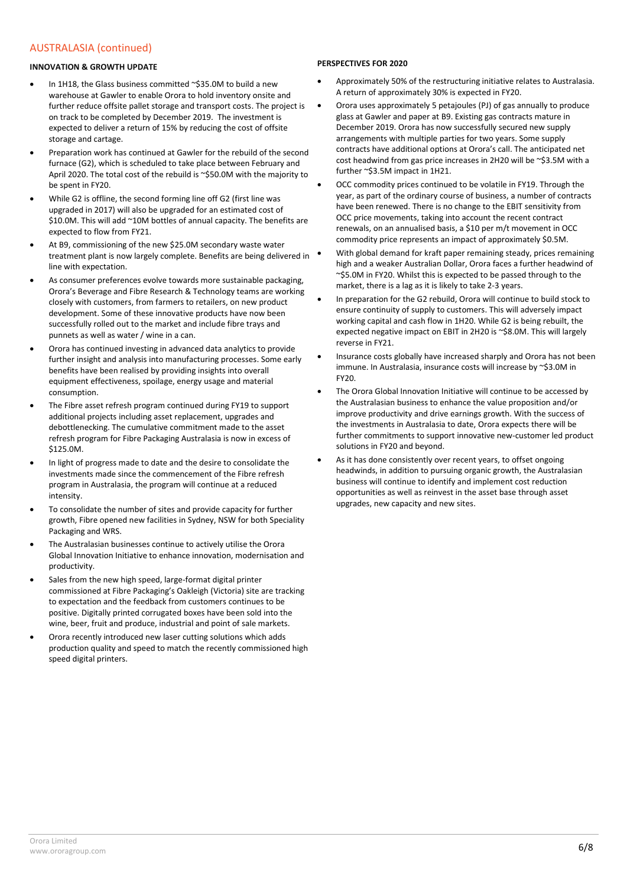### AUSTRALASIA (continued)

#### **INNOVATION & GROWTH UPDATE**

- In 1H18, the Glass business committed ~\$35.0M to build a new warehouse at Gawler to enable Orora to hold inventory onsite and further reduce offsite pallet storage and transport costs. The project is on track to be completed by December 2019. The investment is expected to deliver a return of 15% by reducing the cost of offsite storage and cartage.
- Preparation work has continued at Gawler for the rebuild of the second furnace (G2), which is scheduled to take place between February and April 2020. The total cost of the rebuild is ~\$50.0M with the majority to be spent in FY20.
- While G2 is offline, the second forming line off G2 (first line was upgraded in 2017) will also be upgraded for an estimated cost of \$10.0M. This will add ~10M bottles of annual capacity. The benefits are expected to flow from FY21.
- At B9, commissioning of the new \$25.0M secondary waste water treatment plant is now largely complete. Benefits are being delivered in line with expectation.
- As consumer preferences evolve towards more sustainable packaging, Orora's Beverage and Fibre Research & Technology teams are working closely with customers, from farmers to retailers, on new product development. Some of these innovative products have now been successfully rolled out to the market and include fibre trays and punnets as well as water / wine in a can.
- Orora has continued investing in advanced data analytics to provide further insight and analysis into manufacturing processes. Some early benefits have been realised by providing insights into overall equipment effectiveness, spoilage, energy usage and material consumption.
- The Fibre asset refresh program continued during FY19 to support additional projects including asset replacement, upgrades and debottlenecking. The cumulative commitment made to the asset refresh program for Fibre Packaging Australasia is now in excess of \$125.0M.
- In light of progress made to date and the desire to consolidate the investments made since the commencement of the Fibre refresh program in Australasia, the program will continue at a reduced intensity.
- To consolidate the number of sites and provide capacity for further growth, Fibre opened new facilities in Sydney, NSW for both Speciality Packaging and WRS.
- The Australasian businesses continue to actively utilise the Orora Global Innovation Initiative to enhance innovation, modernisation and productivity.
- Sales from the new high speed, large-format digital printer commissioned at Fibre Packaging's Oakleigh (Victoria) site are tracking to expectation and the feedback from customers continues to be positive. Digitally printed corrugated boxes have been sold into the wine, beer, fruit and produce, industrial and point of sale markets.
- Orora recently introduced new laser cutting solutions which adds production quality and speed to match the recently commissioned high speed digital printers.

#### **PERSPECTIVES FOR 2020**

- Approximately 50% of the restructuring initiative relates to Australasia. A return of approximately 30% is expected in FY20.
- Orora uses approximately 5 petajoules (PJ) of gas annually to produce glass at Gawler and paper at B9. Existing gas contracts mature in December 2019. Orora has now successfully secured new supply arrangements with multiple parties for two years. Some supply contracts have additional options at Orora's call. The anticipated net cost headwind from gas price increases in 2H20 will be ~\$3.5M with a further ~\$3.5M impact in 1H21.
- OCC commodity prices continued to be volatile in FY19. Through the year, as part of the ordinary course of business, a number of contracts have been renewed. There is no change to the EBIT sensitivity from OCC price movements, taking into account the recent contract renewals, on an annualised basis, a \$10 per m/t movement in OCC commodity price represents an impact of approximately \$0.5M.
- With global demand for kraft paper remaining steady, prices remaining high and a weaker Australian Dollar, Orora faces a further headwind of ~\$5.0M in FY20. Whilst this is expected to be passed through to the market, there is a lag as it is likely to take 2-3 years.
- In preparation for the G2 rebuild, Orora will continue to build stock to ensure continuity of supply to customers. This will adversely impact working capital and cash flow in 1H20. While G2 is being rebuilt, the expected negative impact on EBIT in 2H20 is ~\$8.0M. This will largely reverse in FY21.
- Insurance costs globally have increased sharply and Orora has not been immune. In Australasia, insurance costs will increase by ~\$3.0M in FY20.
- The Orora Global Innovation Initiative will continue to be accessed by the Australasian business to enhance the value proposition and/or improve productivity and drive earnings growth. With the success of the investments in Australasia to date, Orora expects there will be further commitments to support innovative new-customer led product solutions in FY20 and beyond.
- As it has done consistently over recent years, to offset ongoing headwinds, in addition to pursuing organic growth, the Australasian business will continue to identify and implement cost reduction opportunities as well as reinvest in the asset base through asset upgrades, new capacity and new sites.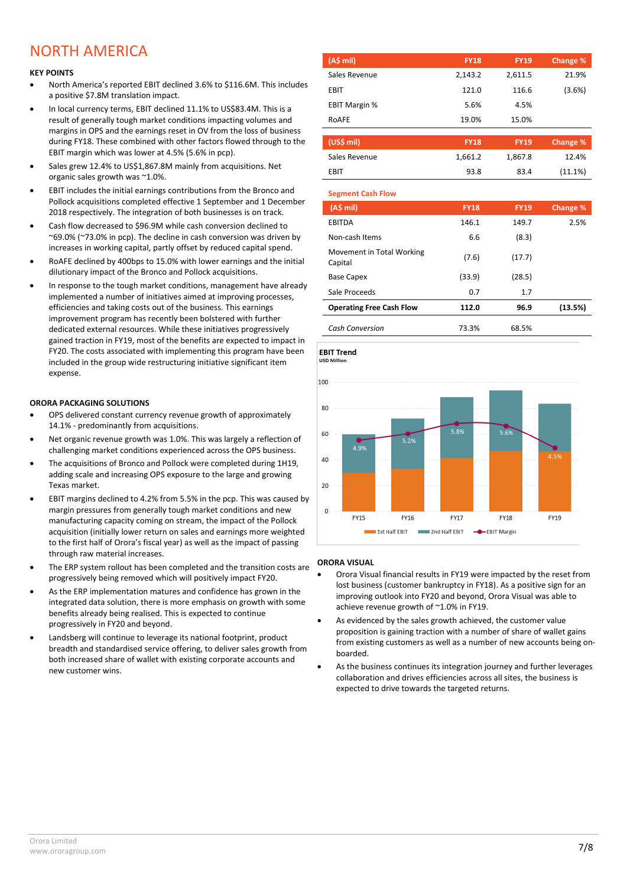## NORTH AMERICA

#### **KEY POINTS**

- North America's reported EBIT declined 3.6% to \$116.6M. This includes a positive \$7.8M translation impact.
- In local currency terms, EBIT declined 11.1% to US\$83.4M. This is a result of generally tough market conditions impacting volumes and margins in OPS and the earnings reset in OV from the loss of business during FY18. These combined with other factors flowed through to the EBIT margin which was lower at 4.5% (5.6% in pcp).
- Sales grew 12.4% to US\$1,867.8M mainly from acquisitions. Net organic sales growth was ~1.0%.
- EBIT includes the initial earnings contributions from the Bronco and Pollock acquisitions completed effective 1 September and 1 December 2018 respectively. The integration of both businesses is on track.
- Cash flow decreased to \$96.9M while cash conversion declined to ~69.0% (~73.0% in pcp). The decline in cash conversion was driven by increases in working capital, partly offset by reduced capital spend.
- RoAFE declined by 400bps to 15.0% with lower earnings and the initial dilutionary impact of the Bronco and Pollock acquisitions.
- In response to the tough market conditions, management have already implemented a number of initiatives aimed at improving processes, efficiencies and taking costs out of the business. This earnings improvement program has recently been bolstered with further dedicated external resources. While these initiatives progressively gained traction in FY19, most of the benefits are expected to impact in FY20. The costs associated with implementing this program have been included in the group wide restructuring initiative significant item expense.

#### **ORORA PACKAGING SOLUTIONS**

- OPS delivered constant currency revenue growth of approximately 14.1% - predominantly from acquisitions.
- Net organic revenue growth was 1.0%. This was largely a reflection of challenging market conditions experienced across the OPS business.
- The acquisitions of Bronco and Pollock were completed during 1H19, adding scale and increasing OPS exposure to the large and growing Texas market.
- EBIT margins declined to 4.2% from 5.5% in the pcp. This was caused by margin pressures from generally tough market conditions and new manufacturing capacity coming on stream, the impact of the Pollock acquisition (initially lower return on sales and earnings more weighted to the first half of Orora's fiscal year) as well as the impact of passing through raw material increases.
- The ERP system rollout has been completed and the transition costs are progressively being removed which will positively impact FY20.
- As the ERP implementation matures and confidence has grown in the integrated data solution, there is more emphasis on growth with some benefits already being realised. This is expected to continue progressively in FY20 and beyond.
- Landsberg will continue to leverage its national footprint, product breadth and standardised service offering, to deliver sales growth from both increased share of wallet with existing corporate accounts and new customer wins.

| (A\$ mi)             | <b>FY18</b> | <b>FY19</b> | Change % |
|----------------------|-------------|-------------|----------|
| Sales Revenue        | 2,143.2     | 2,611.5     | 21.9%    |
| <b>EBIT</b>          | 121.0       | 116.6       | (3.6%)   |
| <b>EBIT Margin %</b> | 5.6%        | 4.5%        |          |
| ROAFE                | 19.0%       | 15.0%       |          |

| (US\$ mil)    | <b>FY18</b> | <b>FY19</b> | Change % |
|---------------|-------------|-------------|----------|
| Sales Revenue | 1.661.2     | 1,867.8     | 12.4%    |
| FRIT          | 93.8        | 83.4        | (11.1%)  |

| <b>Segment Cash Flow</b>             |             |             |                 |
|--------------------------------------|-------------|-------------|-----------------|
| (AS mil)                             | <b>FY18</b> | <b>FY19</b> | <b>Change %</b> |
| <b>EBITDA</b>                        | 146.1       | 149.7       | 2.5%            |
| Non-cash Items                       | 6.6         | (8.3)       |                 |
| Movement in Total Working<br>Capital | (7.6)       | (17.7)      |                 |
| <b>Base Capex</b>                    | (33.9)      | (28.5)      |                 |
| Sale Proceeds                        | 0.7         | 1.7         |                 |
| <b>Operating Free Cash Flow</b>      | 112.0       | 96.9        | (13.5%)         |
| <b>Cash Conversion</b>               | 73.3%       | 68.5%       |                 |

**FBIT Trend USD Millio** 



#### **ORORA VISUAL**

- Orora Visual financial results in FY19 were impacted by the reset from lost business (customer bankruptcy in FY18). As a positive sign for an improving outlook into FY20 and beyond, Orora Visual was able to achieve revenue growth of ~1.0% in FY19.
- As evidenced by the sales growth achieved, the customer value proposition is gaining traction with a number of share of wallet gains from existing customers as well as a number of new accounts being onboarded.
- As the business continues its integration journey and further leverages collaboration and drives efficiencies across all sites, the business is expected to drive towards the targeted returns.